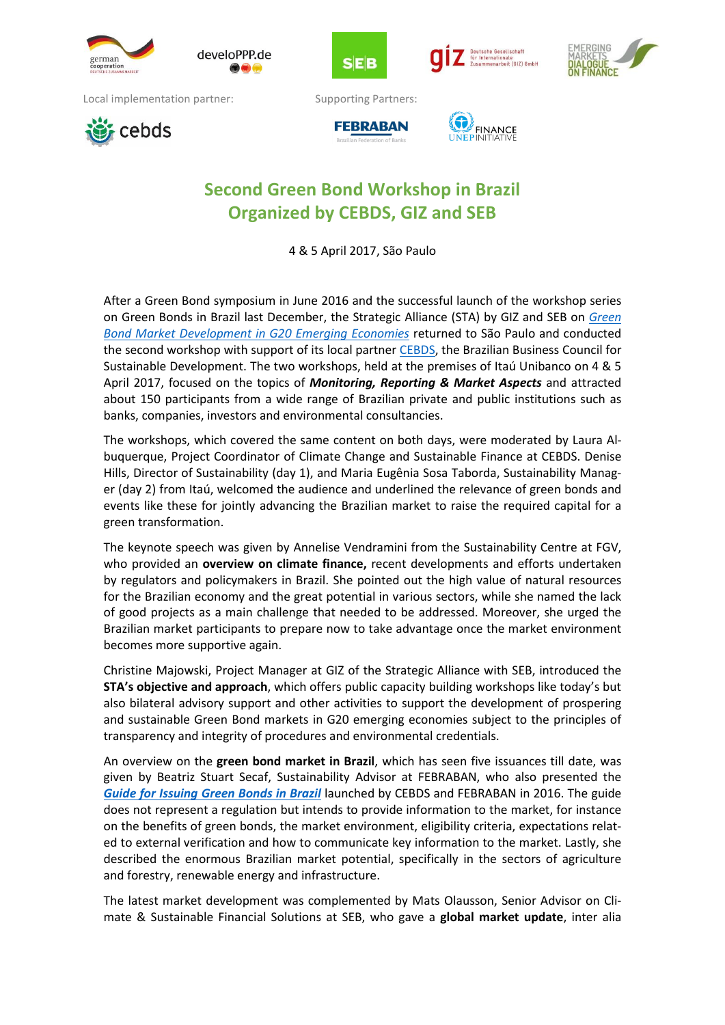

develoPPP.de



, oesettschaft<br>nationale<br>enarbeit (GIZ) GmbH



Local implementation partner: Supporting Partners:







## **Second Green Bond Workshop in Brazil Organized by CEBDS, GIZ and SEB**

4 & 5 April 2017, São Paulo

After a Green Bond symposium in June 2016 and the successful launch of the workshop series on Green Bonds in Brazil last December, the Strategic Alliance (STA) by GIZ and SEB on *[Green](http://www.emergingmarketsdialogue.org/dms/giz-emd/green-bonds/Fact_Sheet-GIZ_SEB_Strategic_Alliance-Green_Bond_Market_Development_in_G20_EM.pdf?z=1485779897077) Bond Market [Development](http://www.emergingmarketsdialogue.org/dms/giz-emd/green-bonds/Fact_Sheet-GIZ_SEB_Strategic_Alliance-Green_Bond_Market_Development_in_G20_EM.pdf?z=1485779897077) in G20 Emerging Economies* returned to São Paulo and conducted the second workshop with support of its local partner [CEBDS,](http://cebds.org/wp-content/uploads/2016/10/Guia_emissa%CC%83o_ti%CC%81tulos_verdes_ING-2.pdf) the Brazilian Business Council for Sustainable Development. The two workshops, held at the premises of Itaú Unibanco on 4 & 5 April 2017, focused on the topics of *Monitoring, Reporting & Market Aspects* and attracted about 150 participants from a wide range of Brazilian private and public institutions such as banks, companies, investors and environmental consultancies.

The workshops, which covered the same content on both days, were moderated by Laura Albuquerque, Project Coordinator of Climate Change and Sustainable Finance at CEBDS. Denise Hills, Director of Sustainability (day 1), and Maria Eugênia Sosa Taborda, Sustainability Manager (day 2) from Itaú, welcomed the audience and underlined the relevance of green bonds and events like these for jointly advancing the Brazilian market to raise the required capital for a green transformation.

The keynote speech was given by Annelise Vendramini from the Sustainability Centre at FGV, who provided an **overview on climate finance,** recent developments and efforts undertaken by regulators and policymakers in Brazil. She pointed out the high value of natural resources for the Brazilian economy and the great potential in various sectors, while she named the lack of good projects as a main challenge that needed to be addressed. Moreover, she urged the Brazilian market participants to prepare now to take advantage once the market environment becomes more supportive again.

Christine Majowski, Project Manager at GIZ of the Strategic Alliance with SEB, introduced the **STA's objective and approach**, which offers public capacity building workshops like today's but also bilateral advisory support and other activities to support the development of prospering and sustainable Green Bond markets in G20 emerging economies subject to the principles of transparency and integrity of procedures and environmental credentials.

An overview on the **green bond market in Brazil**, which has seen five issuances till date, was given by Beatriz Stuart Secaf, Sustainability Advisor at FEBRABAN, who also presented the *Guide for [Issuing](https://portal.febraban.org.br/pagina/3188/52/pt-br/guia-titulos-verdes) Green Bonds in Brazil* launched by CEBDS and FEBRABAN in 2016. The guide does not represent a regulation but intends to provide information to the market, for instance on the benefits of green bonds, the market environment, eligibility criteria, expectations related to external verification and how to communicate key information to the market. Lastly, she described the enormous Brazilian market potential, specifically in the sectors of agriculture and forestry, renewable energy and infrastructure.

The latest market development was complemented by Mats Olausson, Senior Advisor on Climate & Sustainable Financial Solutions at SEB, who gave a **global market update**, inter alia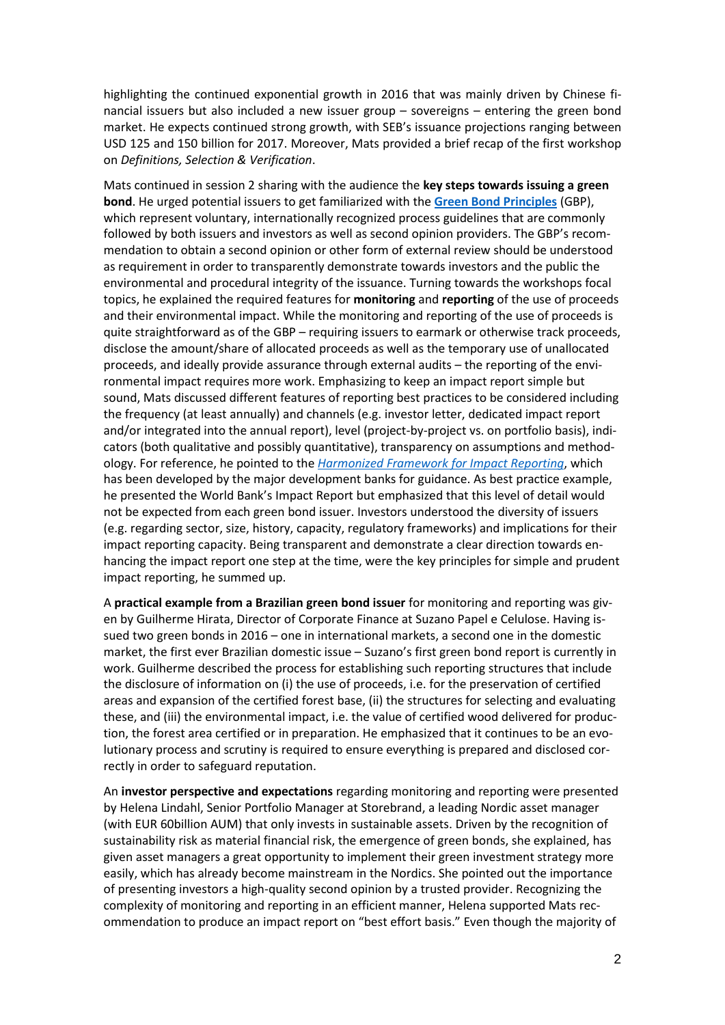highlighting the continued exponential growth in 2016 that was mainly driven by Chinese financial issuers but also included a new issuer group – sovereigns – entering the green bond market. He expects continued strong growth, with SEB's issuance projections ranging between USD 125 and 150 billion for 2017. Moreover, Mats provided a brief recap of the first workshop on *Definitions, Selection & Verification*.

Mats continued in session 2 sharing with the audience the **key steps towards issuing a green bond**. He urged potential issuers to get familiarized with the **Green Bond [Principles](http://www.icmagroup.org/Regulatory-Policy-and-Market-Practice/green-bonds/green-bond-principles/)** (GBP), which represent voluntary, internationally recognized process guidelines that are commonly followed by both issuers and investors as well as second opinion providers. The GBP's recommendation to obtain a second opinion or other form of external review should be understood as requirement in order to transparently demonstrate towards investors and the public the environmental and procedural integrity of the issuance. Turning towards the workshops focal topics, he explained the required features for **monitoring** and **reporting** of the use of proceeds and their environmental impact. While the monitoring and reporting of the use of proceeds is quite straightforward as of the GBP – requiring issuers to earmark or otherwise track proceeds, disclose the amount/share of allocated proceeds as well as the temporary use of unallocated proceeds, and ideally provide assurance through external audits – the reporting of the environmental impact requires more work. Emphasizing to keep an impact report simple but sound, Mats discussed different features of reporting best practices to be considered including the frequency (at least annually) and channels (e.g. investor letter, dedicated impact report and/or integrated into the annual report), level (project-by-project vs. on portfolio basis), indicators (both qualitative and possibly quantitative), transparency on assumptions and methodology. For reference, he pointed to the *[Harmonized](https://www.ifc.org/wps/wcm/connect/f932dc004ad996538a1fea4fb4720a61/Updated+logo+FINALPROPOSALIRH+CLEAN.pdf?MOD=AJPERES) Framework for Impact Reporting*, which has been developed by the major development banks for guidance. As best practice example, he presented the World Bank's Impact Report but emphasized that this level of detail would not be expected from each green bond issuer. Investors understood the diversity of issuers (e.g. regarding sector, size, history, capacity, regulatory frameworks) and implications for their impact reporting capacity. Being transparent and demonstrate a clear direction towards enhancing the impact report one step at the time, were the key principles for simple and prudent impact reporting, he summed up.

A **practical example from a Brazilian green bond issuer** for monitoring and reporting was given by Guilherme Hirata, Director of Corporate Finance at Suzano Papel e Celulose. Having issued two green bonds in 2016 – one in international markets, a second one in the domestic market, the first ever Brazilian domestic issue – Suzano's first green bond report is currently in work. Guilherme described the process for establishing such reporting structures that include the disclosure of information on (i) the use of proceeds, i.e. for the preservation of certified areas and expansion of the certified forest base, (ii) the structures for selecting and evaluating these, and (iii) the environmental impact, i.e. the value of certified wood delivered for production, the forest area certified or in preparation. He emphasized that it continues to be an evolutionary process and scrutiny is required to ensure everything is prepared and disclosed correctly in order to safeguard reputation.

An **investor perspective and expectations** regarding monitoring and reporting were presented by Helena Lindahl, Senior Portfolio Manager at Storebrand, a leading Nordic asset manager (with EUR 60billion AUM) that only invests in sustainable assets. Driven by the recognition of sustainability risk as material financial risk, the emergence of green bonds, she explained, has given asset managers a great opportunity to implement their green investment strategy more easily, which has already become mainstream in the Nordics. She pointed out the importance of presenting investors a high-quality second opinion by a trusted provider. Recognizing the complexity of monitoring and reporting in an efficient manner, Helena supported Mats recommendation to produce an impact report on "best effort basis." Even though the majority of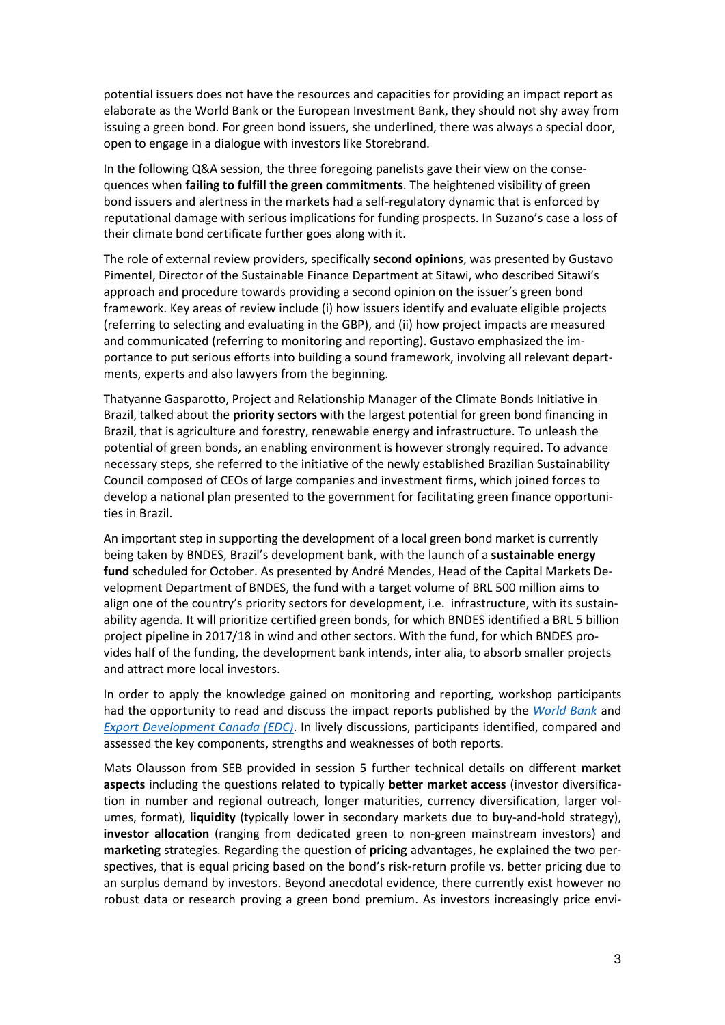potential issuers does not have the resources and capacities for providing an impact report as elaborate as the World Bank or the European Investment Bank, they should not shy away from issuing a green bond. For green bond issuers, she underlined, there was always a special door, open to engage in a dialogue with investors like Storebrand.

In the following Q&A session, the three foregoing panelists gave their view on the consequences when **failing to fulfill the green commitments**. The heightened visibility of green bond issuers and alertness in the markets had a self-regulatory dynamic that is enforced by reputational damage with serious implications for funding prospects. In Suzano's case a loss of their climate bond certificate further goes along with it.

The role of external review providers, specifically **second opinions**, was presented by Gustavo Pimentel, Director of the Sustainable Finance Department at Sitawi, who described Sitawi's approach and procedure towards providing a second opinion on the issuer's green bond framework. Key areas of review include (i) how issuers identify and evaluate eligible projects (referring to selecting and evaluating in the GBP), and (ii) how project impacts are measured and communicated (referring to monitoring and reporting). Gustavo emphasized the importance to put serious efforts into building a sound framework, involving all relevant departments, experts and also lawyers from the beginning.

Thatyanne Gasparotto, Project and Relationship Manager of the Climate Bonds Initiative in Brazil, talked about the **priority sectors** with the largest potential for green bond financing in Brazil, that is agriculture and forestry, renewable energy and infrastructure. To unleash the potential of green bonds, an enabling environment is however strongly required. To advance necessary steps, she referred to the initiative of the newly established Brazilian Sustainability Council composed of CEOs of large companies and investment firms, which joined forces to develop a national plan presented to the government for facilitating green finance opportunities in Brazil.

An important step in supporting the development of a local green bond market is currently being taken by BNDES, Brazil's development bank, with the launch of a **sustainable energy fund** scheduled for October. As presented by André Mendes, Head of the Capital Markets Development Department of BNDES, the fund with a target volume of BRL 500 million aims to align one of the country's priority sectors for development, i.e. infrastructure, with its sustainability agenda. It will prioritize certified green bonds, for which BNDES identified a BRL 5 billion project pipeline in 2017/18 in wind and other sectors. With the fund, for which BNDES provides half of the funding, the development bank intends, inter alia, to absorb smaller projects and attract more local investors.

In order to apply the knowledge gained on monitoring and reporting, workshop participants had the opportunity to read and discuss the impact reports published by the *[World Bank](http://treasury.worldbank.org/cmd/pdf/WorldBankGreenBondImpactReport.pdf)* and *[Export Development Canada \(EDC\)](http://www.edc.ca/en/investor-relations/documents/green-asset-portfolio-reporting.pdf)*. In lively discussions, participants identified, compared and assessed the key components, strengths and weaknesses of both reports.

Mats Olausson from SEB provided in session 5 further technical details on different **market aspects** including the questions related to typically **better market access** (investor diversification in number and regional outreach, longer maturities, currency diversification, larger volumes, format), **liquidity** (typically lower in secondary markets due to buy-and-hold strategy), **investor allocation** (ranging from dedicated green to non-green mainstream investors) and **marketing** strategies. Regarding the question of **pricing** advantages, he explained the two perspectives, that is equal pricing based on the bond's risk-return profile vs. better pricing due to an surplus demand by investors. Beyond anecdotal evidence, there currently exist however no robust data or research proving a green bond premium. As investors increasingly price envi